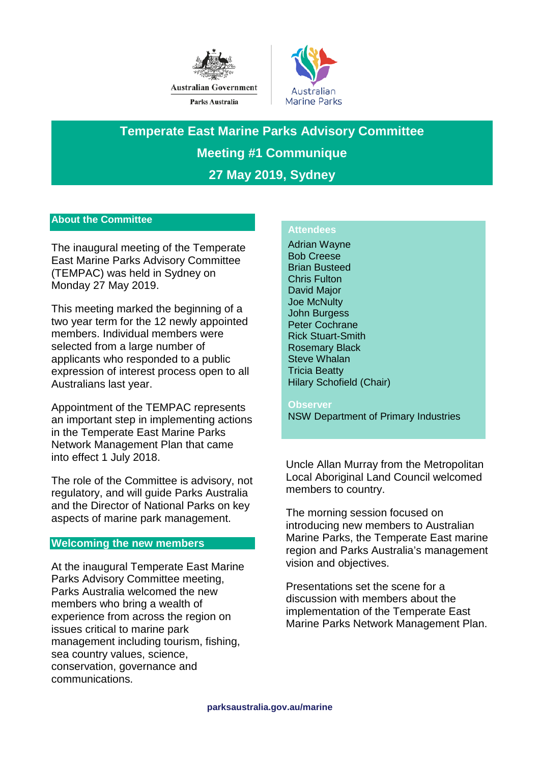



**Temperate East Marine Parks Advisory Committee Meeting #1 Communique 27 May 2019, Sydney**

# **About the Committee**

The inaugural meeting of the Temperate East Marine Parks Advisory Committee (TEMPAC) was held in Sydney on Monday 27 May 2019.

This meeting marked the beginning of a two year term for the 12 newly appointed members. Individual members were selected from a large number of applicants who responded to a public expression of interest process open to all Australians last year.

Appointment of the TEMPAC represents an important step in implementing actions in the Temperate East Marine Parks Network Management Plan that came into effect 1 July 2018.

The role of the Committee is advisory, not regulatory, and will guide Parks Australia and the Director of National Parks on key aspects of marine park management.

### **Welcoming the new members**

At the inaugural Temperate East Marine Parks Advisory Committee meeting, Parks Australia welcomed the new members who bring a wealth of experience from across the region on issues critical to marine park management including tourism, fishing, sea country values, science, conservation, governance and communications.

# **Attendees**

Adrian Wayne Bob Creese Brian Busteed Chris Fulton David Major Joe McNulty John Burgess Peter Cochrane Rick Stuart-Smith Rosemary Black Steve Whalan Tricia Beatty Hilary Schofield (Chair)

**Observer**  NSW Department of Primary Industries

Uncle Allan Murray from the Metropolitan Local Aboriginal Land Council welcomed members to country.

The morning session focused on introducing new members to Australian Marine Parks, the Temperate East marine region and Parks Australia's management vision and objectives.

Presentations set the scene for a discussion with members about the implementation of the Temperate East Marine Parks Network Management Plan.